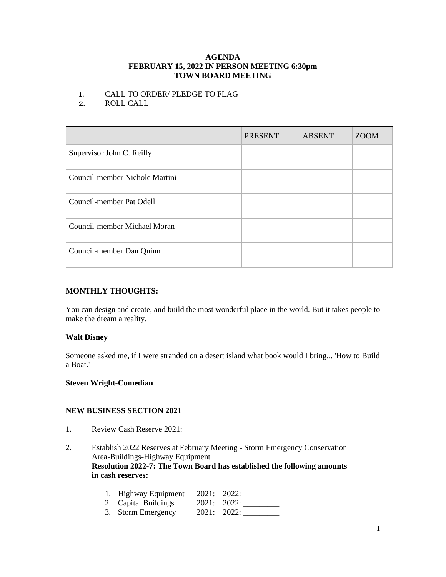#### **AGENDA FEBRUARY 15, 2022 IN PERSON MEETING 6:30pm TOWN BOARD MEETING**

## 1. CALL TO ORDER/ PLEDGE TO FLAG

2. ROLL CALL

|                                | <b>PRESENT</b> | <b>ABSENT</b> | <b>ZOOM</b> |
|--------------------------------|----------------|---------------|-------------|
| Supervisor John C. Reilly      |                |               |             |
| Council-member Nichole Martini |                |               |             |
| Council-member Pat Odell       |                |               |             |
| Council-member Michael Moran   |                |               |             |
| Council-member Dan Quinn       |                |               |             |

# **MONTHLY THOUGHTS:**

You can design and create, and build the most wonderful place in the world. But it takes people to make the dream a reality.

# **Walt Disney**

Someone asked me, if I were stranded on a desert island what book would I bring... 'How to Build a Boat.'

### **Steven Wright-Comedian**

### **NEW BUSINESS SECTION 2021**

- 1. Review Cash Reserve 2021:
- 2. Establish 2022 Reserves at February Meeting Storm Emergency Conservation Area-Buildings-Highway Equipment **Resolution 2022-7: The Town Board has established the following amounts in cash reserves:**

| 1. Highway Equipment | 2021: 2022: |             |
|----------------------|-------------|-------------|
| 2. Capital Buildings |             | 2021: 2022: |
| 3. Storm Emergency   |             | 2021: 2022: |